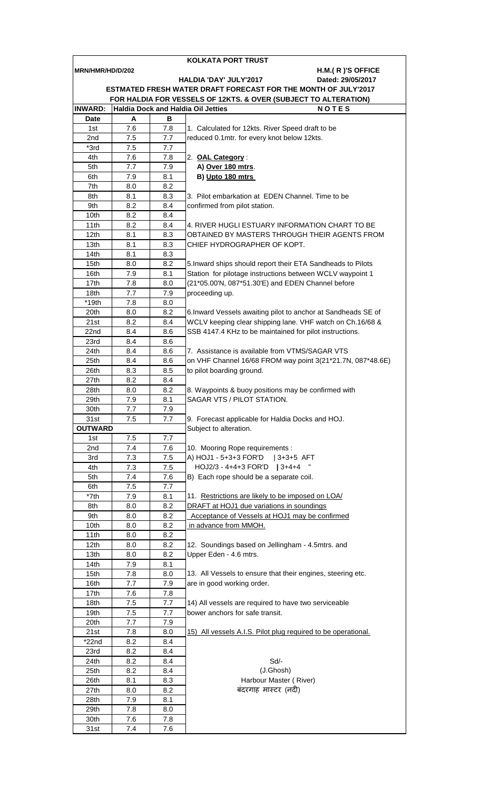| KOLKATA PORT TRUST                                              |            |            |                                                                         |  |  |  |  |  |
|-----------------------------------------------------------------|------------|------------|-------------------------------------------------------------------------|--|--|--|--|--|
| H.M.(R)'S OFFICE<br>MRN/HMR/HD/D/202                            |            |            |                                                                         |  |  |  |  |  |
| <b>HALDIA 'DAY' JULY'2017</b><br>Dated: 29/05/2017              |            |            |                                                                         |  |  |  |  |  |
| ESTMATED FRESH WATER DRAFT FORECAST FOR THE MONTH OF JULY'2017  |            |            |                                                                         |  |  |  |  |  |
| FOR HALDIA FOR VESSELS OF 12KTS. & OVER (SUBJECT TO ALTERATION) |            |            |                                                                         |  |  |  |  |  |
| <b>INWARD:</b>                                                  |            |            | <b>Haldia Dock and Haldia Oil Jetties</b><br><b>NOTES</b>               |  |  |  |  |  |
| <b>Date</b>                                                     | A          | в          |                                                                         |  |  |  |  |  |
| 1st                                                             | 7.6        | 7.8        | 1. Calculated for 12kts. River Speed draft to be                        |  |  |  |  |  |
| 2nd                                                             | 7.5        | 7.7        | reduced 0.1mtr. for every knot below 12kts.                             |  |  |  |  |  |
| *3rd                                                            | 7.5        | 7.7        |                                                                         |  |  |  |  |  |
| 4th                                                             | 7.6        | 7.8        | 2. OAL Category:                                                        |  |  |  |  |  |
| 5th                                                             | 7.7        | 7.9        | A) Over 180 mtrs.                                                       |  |  |  |  |  |
| 6th                                                             | 7.9        | 8.1        | B) Upto 180 mtrs                                                        |  |  |  |  |  |
| 7th                                                             | 8.0        | 8.2        | 3. Pilot embarkation at EDEN Channel. Time to be                        |  |  |  |  |  |
| 8th<br>9th                                                      | 8.1<br>8.2 | 8.3<br>8.4 | confirmed from pilot station.                                           |  |  |  |  |  |
| 10th                                                            | 8.2        | 8.4        |                                                                         |  |  |  |  |  |
| 11th                                                            | 8.2        | 8.4        | 4. RIVER HUGLI ESTUARY INFORMATION CHART TO BE                          |  |  |  |  |  |
| 12 <sub>th</sub>                                                | 8.1        | 8.3        | OBTAINED BY MASTERS THROUGH THEIR AGENTS FROM                           |  |  |  |  |  |
| 13th                                                            | 8.1        | 8.3        | CHIEF HYDROGRAPHER OF KOPT.                                             |  |  |  |  |  |
| 14th                                                            | 8.1        | 8.3        |                                                                         |  |  |  |  |  |
| 15th                                                            | 8.0        | 8.2        | 5. Inward ships should report their ETA Sandheads to Pilots             |  |  |  |  |  |
| 16th                                                            | 7.9        | 8.1        | Station for pilotage instructions between WCLV waypoint 1               |  |  |  |  |  |
| 17th                                                            | 7.8        | 8.0        | (21*05.00'N, 087*51.30'E) and EDEN Channel before                       |  |  |  |  |  |
| 18th                                                            | 7.7        | 7.9        | proceeding up.                                                          |  |  |  |  |  |
| $*19th$                                                         | 7.8        | 8.0        |                                                                         |  |  |  |  |  |
| 20th                                                            | 8.0        | 8.2        | 6. Inward Vessels awaiting pilot to anchor at Sandheads SE of           |  |  |  |  |  |
| 21st                                                            | 8.2        | 8.4        | WCLV keeping clear shipping lane. VHF watch on Ch.16/68 &               |  |  |  |  |  |
| 22nd                                                            | 8.4        | 8.6        | SSB 4147.4 KHz to be maintained for pilot instructions.                 |  |  |  |  |  |
| 23rd                                                            | 8.4        | 8.6        |                                                                         |  |  |  |  |  |
| 24th                                                            | 8.4        | 8.6        | 7. Assistance is available from VTMS/SAGAR VTS                          |  |  |  |  |  |
| 25th                                                            | 8.4        | 8.6        | on VHF Channel 16/68 FROM way point 3(21*21.7N, 087*48.6E)              |  |  |  |  |  |
| 26th                                                            | 8.3        | 8.5        | to pilot boarding ground.                                               |  |  |  |  |  |
| 27th                                                            | 8.2        | 8.4        |                                                                         |  |  |  |  |  |
| 28th                                                            | 8.0        | 8.2        | 8. Waypoints & buoy positions may be confirmed with                     |  |  |  |  |  |
| 29th                                                            | 7.9        | 8.1        | SAGAR VTS / PILOT STATION.                                              |  |  |  |  |  |
| 30th                                                            | 7.7        | 7.9        |                                                                         |  |  |  |  |  |
| 31st                                                            | 7.5        | 7.7        | 9. Forecast applicable for Haldia Docks and HOJ.                        |  |  |  |  |  |
| <b>OUTWARD</b>                                                  |            |            | Subject to alteration.                                                  |  |  |  |  |  |
| 1st                                                             | 7.5        | 7.7        |                                                                         |  |  |  |  |  |
| 2nd                                                             | 7.4        | 7.6        | 10. Mooring Rope requirements :                                         |  |  |  |  |  |
| 3rd                                                             | 7.3        | 7.5        | A) HOJ1 - 5+3+3 FOR'D<br>$ 3+3+5$ AFT                                   |  |  |  |  |  |
| 4th                                                             | 7.3        | 7.5        | HOJ2/3 - 4+4+3 FOR'D   3+4+4                                            |  |  |  |  |  |
| 5th                                                             | 7.4        | 7.6        | B) Each rope should be a separate coil.                                 |  |  |  |  |  |
| 6th                                                             | 7.5        | 7.7        |                                                                         |  |  |  |  |  |
| *7th                                                            | 7.9        | 8.1        | 11. Restrictions are likely to be imposed on LOA/                       |  |  |  |  |  |
| 8th                                                             | 8.0        | 8.2        | DRAFT at HOJ1 due variations in soundings                               |  |  |  |  |  |
| 9th<br>10th                                                     | 8.0<br>8.0 | 8.2<br>8.2 | Acceptance of Vessels at HOJ1 may be confirmed<br>in advance from MMOH. |  |  |  |  |  |
| 11th                                                            | 8.0        | 8.2        |                                                                         |  |  |  |  |  |
| 12th                                                            | 8.0        | 8.2        | 12. Soundings based on Jellingham - 4.5mtrs. and                        |  |  |  |  |  |
| 13th                                                            | 8.0        | 8.2        | Upper Eden - 4.6 mtrs.                                                  |  |  |  |  |  |
| 14th                                                            | 7.9        | 8.1        |                                                                         |  |  |  |  |  |
| 15th                                                            | 7.8        | 8.0        | 13. All Vessels to ensure that their engines, steering etc.             |  |  |  |  |  |
| 16th                                                            | 7.7        | 7.9        | are in good working order.                                              |  |  |  |  |  |
| 17th                                                            | 7.6        | 7.8        |                                                                         |  |  |  |  |  |
| 18th                                                            | 7.5        | 7.7        | 14) All vessels are required to have two serviceable                    |  |  |  |  |  |
| 19th                                                            | 7.5        | 7.7        | bower anchors for safe transit.                                         |  |  |  |  |  |
| 20th                                                            | 7.7        | 7.9        |                                                                         |  |  |  |  |  |
| 21st                                                            | 7.8        | 8.0        | 15) All vessels A.I.S. Pilot plug required to be operational.           |  |  |  |  |  |
| $*22nd$                                                         | 8.2        | 8.4        |                                                                         |  |  |  |  |  |
| 23rd                                                            | 8.2        | 8.4        |                                                                         |  |  |  |  |  |
| 24th                                                            | 8.2        | 8.4        | Sd/-                                                                    |  |  |  |  |  |
| 25th                                                            | 8.2        | 8.4        | (J.Ghosh)                                                               |  |  |  |  |  |
| 26th                                                            | 8.1        | 8.3        | Harbour Master (River)                                                  |  |  |  |  |  |
| 27th                                                            | 8.0        | 8.2        | बंदरगाह मास्टर (नदी)                                                    |  |  |  |  |  |
| 28th                                                            | 7.9        | 8.1        |                                                                         |  |  |  |  |  |
| 29th                                                            | 7.8        | 8.0        |                                                                         |  |  |  |  |  |
| 30th                                                            | 7.6        | 7.8        |                                                                         |  |  |  |  |  |
| 31st                                                            | 7.4        | 7.6        |                                                                         |  |  |  |  |  |